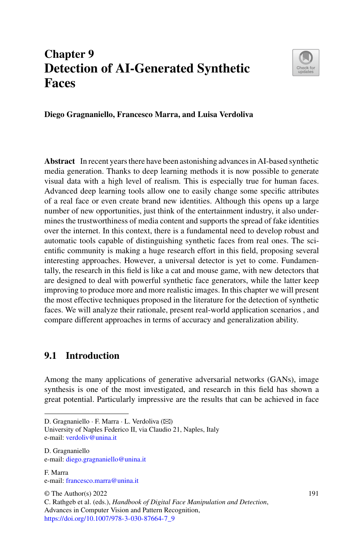# **Chapter 9 Detection of AI-Generated Synthetic Faces**



**Diego Gragnaniello, Francesco Marra, and Luisa Verdoliva**

**Abstract** In recent years there have been astonishing advances in AI-based synthetic media generation. Thanks to deep learning methods it is now possible to generate visual data with a high level of realism. This is especially true for human faces. Advanced deep learning tools allow one to easily change some specific attributes of a real face or even create brand new identities. Although this opens up a large number of new opportunities, just think of the entertainment industry, it also undermines the trustworthiness of media content and supports the spread of fake identities over the internet. In this context, there is a fundamental need to develop robust and automatic tools capable of distinguishing synthetic faces from real ones. The scientific community is making a huge research effort in this field, proposing several interesting approaches. However, a universal detector is yet to come. Fundamentally, the research in this field is like a cat and mouse game, with new detectors that are designed to deal with powerful synthetic face generators, while the latter keep improving to produce more and more realistic images. In this chapter we will present the most effective techniques proposed in the literature for the detection of synthetic faces. We will analyze their rationale, present real-world application scenarios , and compare different approaches in terms of accuracy and generalization ability.

## **9.1 Introduction**

Among the many applications of generative adversarial networks (GANs), image synthesis is one of the most investigated, and research in this field has shown a great potential. Particularly impressive are the results that can be achieved in face

- D. Gragnaniello e-mail: [diego.gragnaniello@unina.it](mailto:diego.gragnaniello@unina.it)
- F. Marra e-mail: [francesco.marra@unina.it](mailto:francesco.marra@unina.it)
- © The Author(s) 2022

D. Gragnaniello · F. Marra · L. Verdoliva (⊠)

University of Naples Federico II, via Claudio 21, Naples, Italy e-mail: [verdoliv@unina.it](mailto:verdoliv@unina.it)

C. Rathgeb et al. (eds.), *Handbook of Digital Face Manipulation and Detection*, Advances in Computer Vision and Pattern Recognition, [https://doi.org/10.1007/978-3-030-87664-7\\_9](https://doi.org/10.1007/978-3-030-87664-7_9)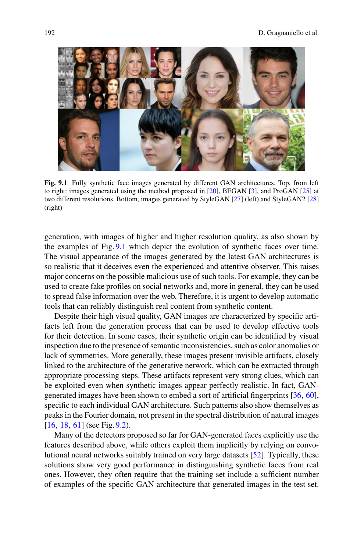

**Fig. 9.1** Fully synthetic face images generated by different GAN architectures. Top, from left to right: images generated using the method proposed in [\[20](#page-19-0)], BEGAN [\[3\]](#page-18-0), and ProGAN [\[25\]](#page-19-1) at two different resolutions. Bottom, images generated by StyleGAN [\[27\]](#page-19-2) (left) and StyleGAN2 [\[28](#page-19-3)] (right)

<span id="page-1-0"></span>generation, with images of higher and higher resolution quality, as also shown by the examples of Fig. [9.1](#page-1-0) which depict the evolution of synthetic faces over time. The visual appearance of the images generated by the latest GAN architectures is so realistic that it deceives even the experienced and attentive observer. This raises major concerns on the possible malicious use of such tools. For example, they can be used to create fake profiles on social networks and, more in general, they can be used to spread false information over the web. Therefore, it is urgent to develop automatic tools that can reliably distinguish real content from synthetic content.

Despite their high visual quality, GAN images are characterized by specific artifacts left from the generation process that can be used to develop effective tools for their detection. In some cases, their synthetic origin can be identified by visual inspection due to the presence of semantic inconsistencies, such as color anomalies or lack of symmetries. More generally, these images present invisible artifacts, closely linked to the architecture of the generative network, which can be extracted through appropriate processing steps. These artifacts represent very strong clues, which can be exploited even when synthetic images appear perfectly realistic. In fact, GANgenerated images have been shown to embed a sort of artificial fingerprints [\[36](#page-19-4), [60](#page-21-0)], specific to each individual GAN architecture. Such patterns also show themselves as peaks in the Fourier domain, not present in the spectral distribution of natural images [\[16,](#page-18-1) [18,](#page-19-5) [61](#page-21-1)] (see Fig. [9.2\)](#page-2-0).

Many of the detectors proposed so far for GAN-generated faces explicitly use the features described above, while others exploit them implicitly by relying on convolutional neural networks suitably trained on very large datasets [\[52\]](#page-20-0). Typically, these solutions show very good performance in distinguishing synthetic faces from real ones. However, they often require that the training set include a sufficient number of examples of the specific GAN architecture that generated images in the test set.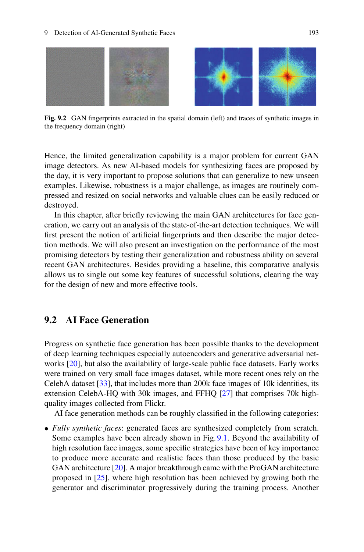

Fig. 9.2 GAN fingerprints extracted in the spatial domain (left) and traces of synthetic images in the frequency domain (right)

<span id="page-2-0"></span>Hence, the limited generalization capability is a major problem for current GAN image detectors. As new AI-based models for synthesizing faces are proposed by the day, it is very important to propose solutions that can generalize to new unseen examples. Likewise, robustness is a major challenge, as images are routinely compressed and resized on social networks and valuable clues can be easily reduced or destroyed.

In this chapter, after briefly reviewing the main GAN architectures for face generation, we carry out an analysis of the state-of-the-art detection techniques. We will first present the notion of artificial fingerprints and then describe the major detection methods. We will also present an investigation on the performance of the most promising detectors by testing their generalization and robustness ability on several recent GAN architectures. Besides providing a baseline, this comparative analysis allows us to single out some key features of successful solutions, clearing the way for the design of new and more effective tools.

## **9.2 AI Face Generation**

Progress on synthetic face generation has been possible thanks to the development of deep learning techniques especially autoencoders and generative adversarial networks [\[20\]](#page-19-0), but also the availability of large-scale public face datasets. Early works were trained on very small face images dataset, while more recent ones rely on the CelebA dataset [\[33\]](#page-19-6), that includes more than 200k face images of 10k identities, its extension CelebA-HQ with 30k images, and FFHQ [\[27](#page-19-2)] that comprises 70k highquality images collected from Flickr.

AI face generation methods can be roughly classified in the following categories:

• *Fully synthetic faces*: generated faces are synthesized completely from scratch. Some examples have been already shown in Fig. [9.1.](#page-1-0) Beyond the availability of high resolution face images, some specific strategies have been of key importance to produce more accurate and realistic faces than those produced by the basic GAN architecture [\[20](#page-19-0)]. A major breakthrough came with the ProGAN architecture proposed in [\[25\]](#page-19-1), where high resolution has been achieved by growing both the generator and discriminator progressively during the training process. Another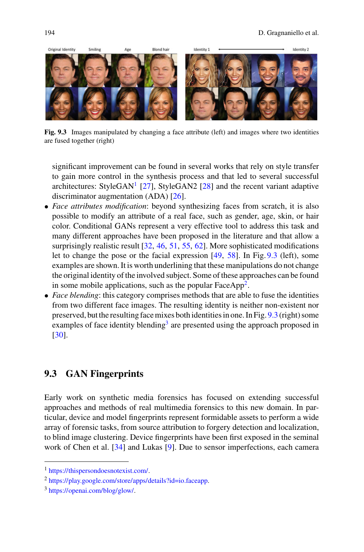

**Fig. 9.3** Images manipulated by changing a face attribute (left) and images where two identities are fused together (right)

<span id="page-3-1"></span>significant improvement can be found in several works that rely on style transfer to gain more control in the synthesis process and that led to several successful architectures: StyleGAN<sup>1</sup> [\[27](#page-19-2)], StyleGAN2 [\[28\]](#page-19-3) and the recent variant adaptive discriminator augmentation (ADA) [\[26\]](#page-19-7).

- *Face attributes modification*: beyond synthesizing faces from scratch, it is also possible to modify an attribute of a real face, such as gender, age, skin, or hair color. Conditional GANs represent a very effective tool to address this task and many different approaches have been proposed in the literature and that allow a surprisingly realistic result [\[32,](#page-19-8) [46](#page-20-1), [51,](#page-20-2) [55,](#page-20-3) [62](#page-21-2)]. More sophisticated modifications let to change the pose or the facial expression [\[49](#page-20-4), [58\]](#page-20-5). In Fig. [9.3](#page-3-1) (left), some examples are shown. It is worth underlining that these manipulations do not change the original identity of the involved subject. Some of these approaches can be found in some mobile applications, such as the popular  $\text{FaceApp}^2$ .
- *Face blending*: this category comprises methods that are able to fuse the identities from two different face images. The resulting identity is neither non-existent nor preserved, but the resulting face mixes both identities in one. In Fig. [9.3](#page-3-1) (right) some examples of face identity blending<sup>3</sup> are presented using the approach proposed in [\[30](#page-19-9)].

## **9.3 GAN Fingerprints**

Early work on synthetic media forensics has focused on extending successful approaches and methods of real multimedia forensics to this new domain. In particular, device and model fingerprints represent formidable assets to perform a wide array of forensic tasks, from source attribution to forgery detection and localization, to blind image clustering. Device fingerprints have been first exposed in the seminal work of Chen et al. [\[34](#page-19-10)] and Lukas [\[9\]](#page-18-2). Due to sensor imperfections, each camera

<span id="page-3-0"></span><sup>1</sup> [https://thispersondoesnotexist.com/.](https://thispersondoesnotexist.com/)

<span id="page-3-2"></span><sup>2</sup> [https://play.google.com/store/apps/details?id=io.faceapp.](https://play.google.com/store/apps/details?id=io.faceapp)

<span id="page-3-3"></span><sup>3</sup> [https://openai.com/blog/glow/.](https://openai.com/blog/glow/)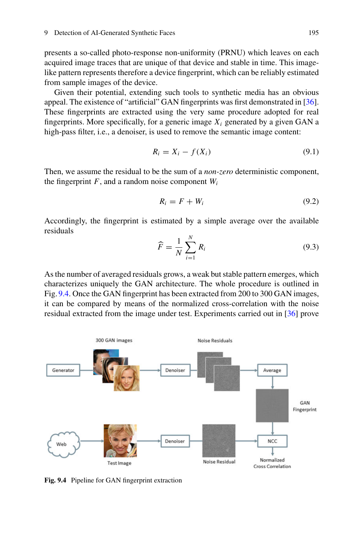presents a so-called photo-response non-uniformity (PRNU) which leaves on each acquired image traces that are unique of that device and stable in time. This imagelike pattern represents therefore a device fingerprint, which can be reliably estimated from sample images of the device.

Given their potential, extending such tools to synthetic media has an obvious appeal. The existence of "artificial" GAN fingerprints was first demonstrated in [\[36](#page-19-4)]. These fingerprints are extracted using the very same procedure adopted for real fingerprints. More specifically, for a generic image  $X_i$  generated by a given GAN a high-pass filter, i.e., a denoiser, is used to remove the semantic image content:

$$
R_i = X_i - f(X_i) \tag{9.1}
$$

Then, we assume the residual to be the sum of a *non-zero* deterministic component, the fingerprint  $F$ , and a random noise component  $W_i$ 

$$
R_i = F + W_i \tag{9.2}
$$

Accordingly, the fingerprint is estimated by a simple average over the available residuals

$$
\widehat{F} = \frac{1}{N} \sum_{i=1}^{N} R_i
$$
\n(9.3)

As the number of averaged residuals grows, a weak but stable pattern emerges, which characterizes uniquely the GAN architecture. The whole procedure is outlined in Fig. [9.4.](#page-4-0) Once the GAN fingerprint has been extracted from 200 to 300 GAN images, it can be compared by means of the normalized cross-correlation with the noise residual extracted from the image under test. Experiments carried out in [\[36\]](#page-19-4) prove



<span id="page-4-0"></span>**Fig. 9.4** Pipeline for GAN fingerprint extraction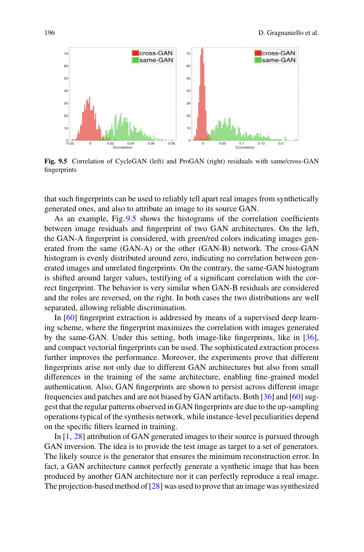

<span id="page-5-0"></span>**Fig. 9.5** Correlation of CycleGAN (left) and ProGAN (right) residuals with same/cross-GAN fingerprints

that such fingerprints can be used to reliably tell apart real images from synthetically generated ones, and also to attribute an image to its source GAN.

As an example, Fig. [9.5](#page-5-0) shows the histograms of the correlation coefficients between image residuals and fingerprint of two GAN architectures. On the left, the GAN-A fingerprint is considered, with green/red colors indicating images generated from the same (GAN-A) or the other (GAN-B) network. The cross-GAN histogram is evenly distributed around zero, indicating no correlation between generated images and unrelated fingerprints. On the contrary, the same-GAN histogram is shifted around larger values, testifying of a significant correlation with the correct fingerprint. The behavior is very similar when GAN-B residuals are considered and the roles are reversed, on the right. In both cases the two distributions are well separated, allowing reliable discrimination.

In [\[60\]](#page-21-0) fingerprint extraction is addressed by means of a supervised deep learning scheme, where the fingerprint maximizes the correlation with images generated by the same-GAN. Under this setting, both image-like fingerprints, like in [\[36](#page-19-4)], and compact vectorial fingerprints can be used. The sophisticated extraction process further improves the performance. Moreover, the experiments prove that different fingerprints arise not only due to different GAN architectures but also from small differences in the training of the same architecture, enabling fine-grained model authentication. Also, GAN fingerprints are shown to persist across different image frequencies and patches and are not biased by GAN artifacts. Both [\[36](#page-19-4)] and [\[60\]](#page-21-0) suggest that the regular patterns observed in GAN fingerprints are due to the up-sampling operations typical of the synthesis network, while instance-level peculiarities depend on the specific filters learned in training.

In [\[1](#page-18-3), [28\]](#page-19-3) attribution of GAN generated images to their source is pursued through GAN inversion. The idea is to provide the test image as target to a set of generators. The likely source is the generator that ensures the minimum reconstruction error. In fact, a GAN architecture cannot perfectly generate a synthetic image that has been produced by another GAN architecture nor it can perfectly reproduce a real image. The projection-based method of [\[28](#page-19-3)] was used to prove that an image was synthesized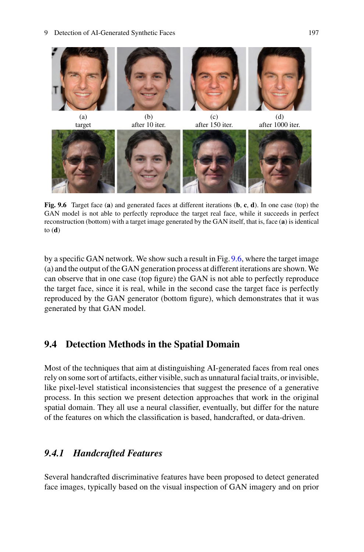#### 9 Detection of AI-Generated Synthetic Faces 197



**Fig. 9.6** Target face (**a**) and generated faces at different iterations (**b**, **c**, **d**). In one case (top) the GAN model is not able to perfectly reproduce the target real face, while it succeeds in perfect reconstruction (bottom) with a target image generated by the GAN itself, that is, face (**a**) is identical to (**d**)

<span id="page-6-0"></span>by a specific GAN network. We show such a result in Fig. [9.6,](#page-6-0) where the target image (a) and the output of the GAN generation process at different iterations are shown. We can observe that in one case (top figure) the GAN is not able to perfectly reproduce the target face, since it is real, while in the second case the target face is perfectly reproduced by the GAN generator (bottom figure), which demonstrates that it was generated by that GAN model.

## **9.4 Detection Methods in the Spatial Domain**

Most of the techniques that aim at distinguishing AI-generated faces from real ones rely on some sort of artifacts, either visible, such as unnatural facial traits, or invisible, like pixel-level statistical inconsistencies that suggest the presence of a generative process. In this section we present detection approaches that work in the original spatial domain. They all use a neural classifier, eventually, but differ for the nature of the features on which the classification is based, handcrafted, or data-driven.

## *9.4.1 Handcrafted Features*

Several handcrafted discriminative features have been proposed to detect generated face images, typically based on the visual inspection of GAN imagery and on prior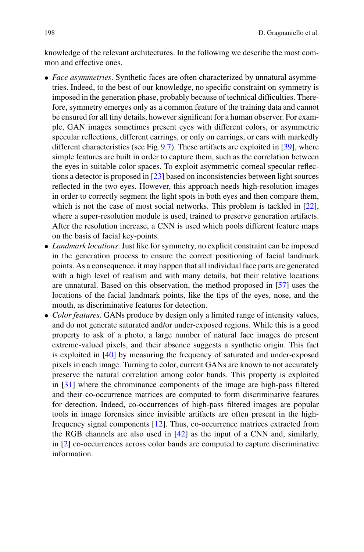knowledge of the relevant architectures. In the following we describe the most common and effective ones.

- *Face asymmetries*. Synthetic faces are often characterized by unnatural asymmetries. Indeed, to the best of our knowledge, no specific constraint on symmetry is imposed in the generation phase, probably because of technical difficulties. Therefore, symmetry emerges only as a common feature of the training data and cannot be ensured for all tiny details, however significant for a human observer. For example, GAN images sometimes present eyes with different colors, or asymmetric specular reflections, different earrings, or only on earrings, or ears with markedly different characteristics (see Fig. [9.7\)](#page-8-0). These artifacts are exploited in [\[39\]](#page-20-6), where simple features are built in order to capture them, such as the correlation between the eyes in suitable color spaces. To exploit asymmetric corneal specular reflections a detector is proposed in [\[23](#page-19-11)] based on inconsistencies between light sources reflected in the two eyes. However, this approach needs high-resolution images in order to correctly segment the light spots in both eyes and then compare them, which is not the case of most social networks. This problem is tackled in [\[22](#page-19-12)], where a super-resolution module is used, trained to preserve generation artifacts. After the resolution increase, a CNN is used which pools different feature maps on the basis of facial key-points.
- *Landmark locations*. Just like for symmetry, no explicit constraint can be imposed in the generation process to ensure the correct positioning of facial landmark points. As a consequence, it may happen that all individual face parts are generated with a high level of realism and with many details, but their relative locations are unnatural. Based on this observation, the method proposed in [\[57\]](#page-20-7) uses the locations of the facial landmark points, like the tips of the eyes, nose, and the mouth, as discriminative features for detection.
- *Color features*. GANs produce by design only a limited range of intensity values, and do not generate saturated and/or under-exposed regions. While this is a good property to ask of a photo, a large number of natural face images do present extreme-valued pixels, and their absence suggests a synthetic origin. This fact is exploited in [\[40\]](#page-20-8) by measuring the frequency of saturated and under-exposed pixels in each image. Turning to color, current GANs are known to not accurately preserve the natural correlation among color bands. This property is exploited in [\[31\]](#page-19-13) where the chrominance components of the image are high-pass filtered and their co-occurrence matrices are computed to form discriminative features for detection. Indeed, co-occurrences of high-pass filtered images are popular tools in image forensics since invisible artifacts are often present in the highfrequency signal components [\[12\]](#page-18-4). Thus, co-occurrence matrices extracted from the RGB channels are also used in [\[42\]](#page-20-9) as the input of a CNN and, similarly, in [\[2\]](#page-18-5) co-occurrences across color bands are computed to capture discriminative information.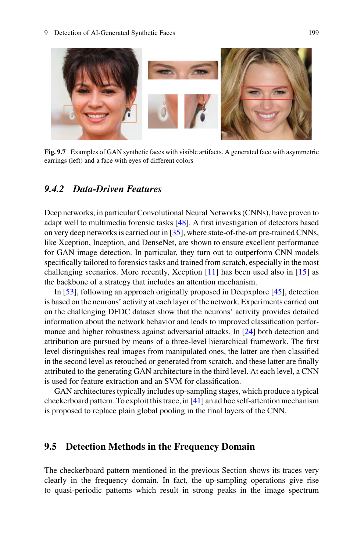

**Fig. 9.7** Examples of GAN synthetic faces with visible artifacts. A generated face with asymmetric earrings (left) and a face with eyes of different colors

## <span id="page-8-0"></span>*9.4.2 Data-Driven Features*

Deep networks, in particular Convolutional Neural Networks (CNNs), have proven to adapt well to multimedia forensic tasks [\[48\]](#page-20-10). A first investigation of detectors based on very deep networks is carried out in [\[35\]](#page-19-14), where state-of-the-art pre-trained CNNs, like Xception, Inception, and DenseNet, are shown to ensure excellent performance for GAN image detection. In particular, they turn out to outperform CNN models specifically tailored to forensics tasks and trained from scratch, especially in the most challenging scenarios. More recently, Xception [\[11\]](#page-18-6) has been used also in [\[15](#page-18-7)] as the backbone of a strategy that includes an attention mechanism.

In [\[53](#page-20-11)], following an approach originally proposed in Deepxplore [\[45\]](#page-20-12), detection is based on the neurons' activity at each layer of the network. Experiments carried out on the challenging DFDC dataset show that the neurons' activity provides detailed information about the network behavior and leads to improved classification performance and higher robustness against adversarial attacks. In [\[24](#page-19-15)] both detection and attribution are pursued by means of a three-level hierarchical framework. The first level distinguishes real images from manipulated ones, the latter are then classified in the second level as retouched or generated from scratch, and these latter are finally attributed to the generating GAN architecture in the third level. At each level, a CNN is used for feature extraction and an SVM for classification.

GAN architectures typically includes up-sampling stages, which produce a typical checkerboard pattern. To exploit this trace, in  $[41]$  $[41]$  an ad hoc self-attention mechanism is proposed to replace plain global pooling in the final layers of the CNN.

#### **9.5 Detection Methods in the Frequency Domain**

The checkerboard pattern mentioned in the previous Section shows its traces very clearly in the frequency domain. In fact, the up-sampling operations give rise to quasi-periodic patterns which result in strong peaks in the image spectrum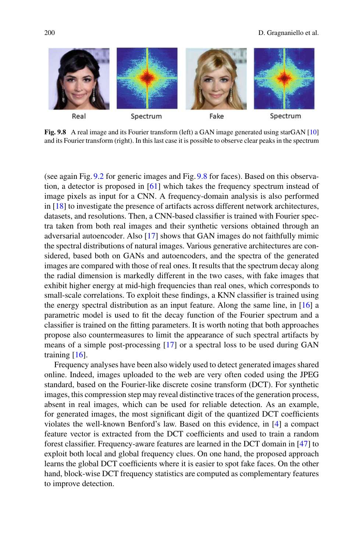

**Fig. 9.8** A real image and its Fourier transform (left) a GAN image generated using starGAN [\[10](#page-18-8)] and its Fourier transform (right). In this last case it is possible to observe clear peaks in the spectrum

<span id="page-9-0"></span>(see again Fig. [9.2](#page-2-0) for generic images and Fig. [9.8](#page-9-0) for faces). Based on this observation, a detector is proposed in [\[61\]](#page-21-1) which takes the frequency spectrum instead of image pixels as input for a CNN. A frequency-domain analysis is also performed in [\[18\]](#page-19-5) to investigate the presence of artifacts across different network architectures, datasets, and resolutions. Then, a CNN-based classifier is trained with Fourier spectra taken from both real images and their synthetic versions obtained through an adversarial autoencoder. Also [\[17\]](#page-19-16) shows that GAN images do not faithfully mimic the spectral distributions of natural images. Various generative architectures are considered, based both on GANs and autoencoders, and the spectra of the generated images are compared with those of real ones. It results that the spectrum decay along the radial dimension is markedly different in the two cases, with fake images that exhibit higher energy at mid-high frequencies than real ones, which corresponds to small-scale correlations. To exploit these findings, a KNN classifier is trained using the energy spectral distribution as an input feature. Along the same line, in [\[16](#page-18-1)] a parametric model is used to fit the decay function of the Fourier spectrum and a classifier is trained on the fitting parameters. It is worth noting that both approaches propose also countermeasures to limit the appearance of such spectral artifacts by means of a simple post-processing [\[17](#page-19-16)] or a spectral loss to be used during GAN training  $[16]$  $[16]$ .

Frequency analyses have been also widely used to detect generated images shared online. Indeed, images uploaded to the web are very often coded using the JPEG standard, based on the Fourier-like discrete cosine transform (DCT). For synthetic images, this compression step may reveal distinctive traces of the generation process, absent in real images, which can be used for reliable detection. As an example, for generated images, the most significant digit of the quantized DCT coefficients violates the well-known Benford's law. Based on this evidence, in [\[4\]](#page-18-9) a compact feature vector is extracted from the DCT coefficients and used to train a random forest classifier. Frequency-aware features are learned in the DCT domain in [\[47\]](#page-20-14) to exploit both local and global frequency clues. On one hand, the proposed approach learns the global DCT coefficients where it is easier to spot fake faces. On the other hand, block-wise DCT frequency statistics are computed as complementary features to improve detection.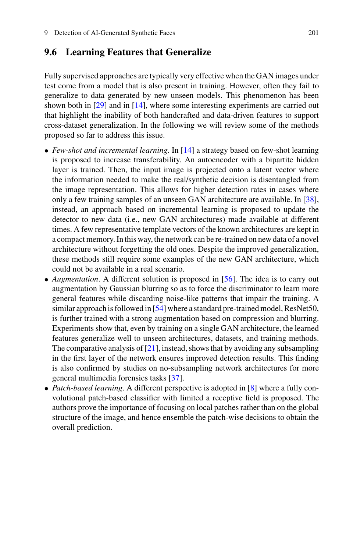#### **9.6 Learning Features that Generalize**

Fully supervised approaches are typically very effective when the GAN images under test come from a model that is also present in training. However, often they fail to generalize to data generated by new unseen models. This phenomenon has been shown both in [\[29\]](#page-19-17) and in [\[14\]](#page-18-10), where some interesting experiments are carried out that highlight the inability of both handcrafted and data-driven features to support cross-dataset generalization. In the following we will review some of the methods proposed so far to address this issue.

- *Few-shot and incremental learning*. In [\[14](#page-18-10)] a strategy based on few-shot learning is proposed to increase transferability. An autoencoder with a bipartite hidden layer is trained. Then, the input image is projected onto a latent vector where the information needed to make the real/synthetic decision is disentangled from the image representation. This allows for higher detection rates in cases where only a few training samples of an unseen GAN architecture are available. In [\[38](#page-19-18)], instead, an approach based on incremental learning is proposed to update the detector to new data (i.e., new GAN architectures) made available at different times. A few representative template vectors of the known architectures are kept in a compact memory. In this way, the network can be re-trained on new data of a novel architecture without forgetting the old ones. Despite the improved generalization, these methods still require some examples of the new GAN architecture, which could not be available in a real scenario.
- *Augmentation*. A different solution is proposed in [\[56\]](#page-20-15). The idea is to carry out augmentation by Gaussian blurring so as to force the discriminator to learn more general features while discarding noise-like patterns that impair the training. A similar approach is followed in [\[54\]](#page-20-16) where a standard pre-trained model, ResNet50, is further trained with a strong augmentation based on compression and blurring. Experiments show that, even by training on a single GAN architecture, the learned features generalize well to unseen architectures, datasets, and training methods. The comparative analysis of  $[21]$ , instead, shows that by avoiding any subsampling in the first layer of the network ensures improved detection results. This finding is also confirmed by studies on no-subsampling network architectures for more general multimedia forensics tasks [\[37\]](#page-19-20).
- *Patch-based learning*. A different perspective is adopted in [\[8](#page-18-11)] where a fully convolutional patch-based classifier with limited a receptive field is proposed. The authors prove the importance of focusing on local patches rather than on the global structure of the image, and hence ensemble the patch-wise decisions to obtain the overall prediction.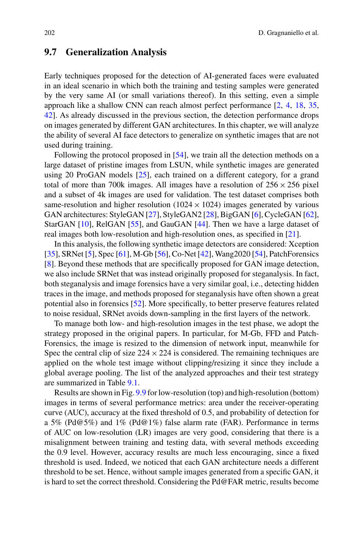#### **9.7 Generalization Analysis**

Early techniques proposed for the detection of AI-generated faces were evaluated in an ideal scenario in which both the training and testing samples were generated by the very same AI (or small variations thereof). In this setting, even a simple approach like a shallow CNN can reach almost perfect performance [\[2](#page-18-5), [4](#page-18-9), [18,](#page-19-5) [35,](#page-19-14) [42\]](#page-20-9). As already discussed in the previous section, the detection performance drops on images generated by different GAN architectures. In this chapter, we will analyze the ability of several AI face detectors to generalize on synthetic images that are not used during training.

Following the protocol proposed in [\[54\]](#page-20-16), we train all the detection methods on a large dataset of pristine images from LSUN, while synthetic images are generated using 20 ProGAN models [\[25](#page-19-1)], each trained on a different category, for a grand total of more than 700k images. All images have a resolution of  $256 \times 256$  pixel and a subset of 4k images are used for validation. The test dataset comprises both same-resolution and higher resolution  $(1024 \times 1024)$  images generated by various GAN architectures: StyleGAN [\[27](#page-19-2)], StyleGAN2 [\[28\]](#page-19-3), BigGAN [\[6](#page-18-12)], CycleGAN [\[62](#page-21-2)], StarGAN [\[10](#page-18-8)], RelGAN [\[55\]](#page-20-3), and GauGAN [\[44](#page-20-17)]. Then we have a large dataset of real images both low-resolution and high-resolution ones, as specified in [\[21\]](#page-19-19).

In this analysis, the following synthetic image detectors are considered: Xception [\[35\]](#page-19-14), SRNet [\[5](#page-18-13)], Spec [\[61](#page-21-1)], M-Gb [\[56](#page-20-15)], Co-Net [\[42](#page-20-9)], Wang2020 [\[54\]](#page-20-16), PatchForensics [\[8\]](#page-18-11). Beyond these methods that are specifically proposed for GAN image detection, we also include SRNet that was instead originally proposed for steganalysis. In fact, both steganalysis and image forensics have a very similar goal, i.e., detecting hidden traces in the image, and methods proposed for steganalysis have often shown a great potential also in forensics [\[52](#page-20-0)]. More specifically, to better preserve features related to noise residual, SRNet avoids down-sampling in the first layers of the network.

To manage both low- and high-resolution images in the test phase, we adopt the strategy proposed in the original papers. In particular, for M-Gb, FFD and Patch-Forensics, the image is resized to the dimension of network input, meanwhile for Spec the central clip of size  $224 \times 224$  is considered. The remaining techniques are applied on the whole test image without clipping/resizing it since they include a global average pooling. The list of the analyzed approaches and their test strategy are summarized in Table [9.1.](#page-12-0)

Results are shown in Fig. [9.9](#page-12-1) for low-resolution (top) and high-resolution (bottom) images in terms of several performance metrics: area under the receiver-operating curve (AUC), accuracy at the fixed threshold of 0.5, and probability of detection for a 5% (Pd@5%) and 1% (Pd@1%) false alarm rate (FAR). Performance in terms of AUC on low-resolution (LR) images are very good, considering that there is a misalignment between training and testing data, with several methods exceeding the 0.9 level. However, accuracy results are much less encouraging, since a fixed threshold is used. Indeed, we noticed that each GAN architecture needs a different threshold to be set. Hence, without sample images generated from a specific GAN, it is hard to set the correct threshold. Considering the Pd@FAR metric, results become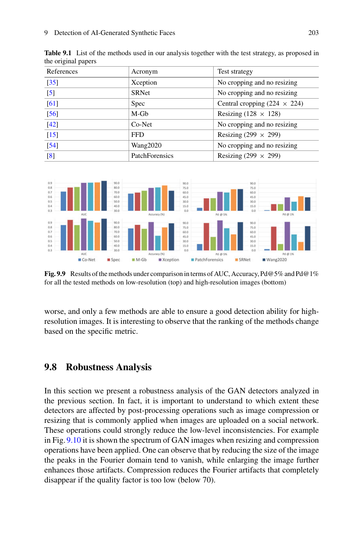| References        | Acronym        | Test strategy                       |  |
|-------------------|----------------|-------------------------------------|--|
| $[35]$            | Xception       | No cropping and no resizing         |  |
| $\left[5\right]$  | <b>SRNet</b>   | No cropping and no resizing         |  |
| [61]              | Spec           | Central cropping (224 $\times$ 224) |  |
| $[56]$            | M-Gb           | Resizing (128 $\times$ 128)         |  |
| $[42]$            | $Co-Net$       | No cropping and no resizing         |  |
| $[15]$            | FFD.           | Resizing (299 $\times$ 299)         |  |
| $\left[54\right]$ | Wang2020       | No cropping and no resizing         |  |
| $\lceil 8 \rceil$ | PatchForensics | Resizing (299 $\times$ 299)         |  |

<span id="page-12-0"></span>**Table 9.1** List of the methods used in our analysis together with the test strategy, as proposed in the original papers



<span id="page-12-1"></span>**Fig. 9.9** Results of the methods under comparison in terms of AUC, Accuracy, Pd@5% and Pd@1% for all the tested methods on low-resolution (top) and high-resolution images (bottom)

worse, and only a few methods are able to ensure a good detection ability for highresolution images. It is interesting to observe that the ranking of the methods change based on the specific metric.

#### **9.8 Robustness Analysis**

In this section we present a robustness analysis of the GAN detectors analyzed in the previous section. In fact, it is important to understand to which extent these detectors are affected by post-processing operations such as image compression or resizing that is commonly applied when images are uploaded on a social network. These operations could strongly reduce the low-level inconsistencies. For example in Fig. [9.10](#page-13-0) it is shown the spectrum of GAN images when resizing and compression operations have been applied. One can observe that by reducing the size of the image the peaks in the Fourier domain tend to vanish, while enlarging the image further enhances those artifacts. Compression reduces the Fourier artifacts that completely disappear if the quality factor is too low (below 70).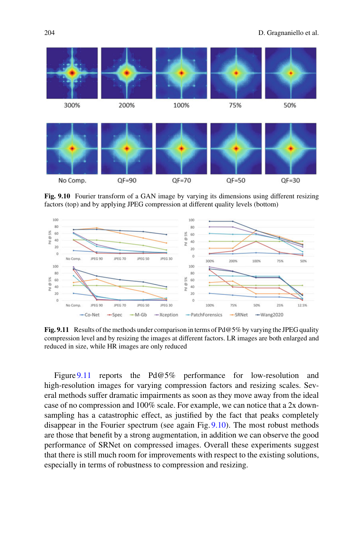

**Fig. 9.10** Fourier transform of a GAN image by varying its dimensions using different resizing factors (top) and by applying JPEG compression at different quality levels (bottom)

<span id="page-13-0"></span>

<span id="page-13-1"></span>**Fig. 9.11** Results of the methods under comparison in terms of Pd@5% by varying the JPEG quality compression level and by resizing the images at different factors. LR images are both enlarged and reduced in size, while HR images are only reduced

Figure [9.11](#page-13-1) reports the Pd@5% performance for low-resolution and high-resolution images for varying compression factors and resizing scales. Several methods suffer dramatic impairments as soon as they move away from the ideal case of no compression and 100% scale. For example, we can notice that a 2x downsampling has a catastrophic effect, as justified by the fact that peaks completely disappear in the Fourier spectrum (see again Fig. [9.10\)](#page-13-0). The most robust methods are those that benefit by a strong augmentation, in addition we can observe the good performance of SRNet on compressed images. Overall these experiments suggest that there is still much room for improvements with respect to the existing solutions, especially in terms of robustness to compression and resizing.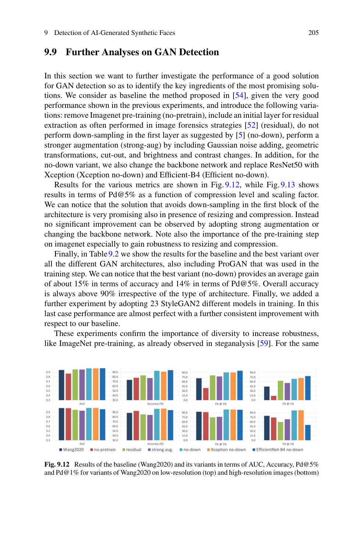#### **9.9 Further Analyses on GAN Detection**

In this section we want to further investigate the performance of a good solution for GAN detection so as to identify the key ingredients of the most promising solutions. We consider as baseline the method proposed in [\[54](#page-20-16)], given the very good performance shown in the previous experiments, and introduce the following variations: remove Imagenet pre-training (no-pretrain), include an initial layer for residual extraction as often performed in image forensics strategies [\[52\]](#page-20-0) (residual), do not perform down-sampling in the first layer as suggested by [\[5\]](#page-18-13) (no-down), perform a stronger augmentation (strong-aug) by including Gaussian noise adding, geometric transformations, cut-out, and brightness and contrast changes. In addition, for the no-down variant, we also change the backbone network and replace ResNet50 with Xception (Xception no-down) and Efficient-B4 (Efficient no-down).

Results for the various metrics are shown in Fig. [9.12,](#page-14-0) while Fig. [9.13](#page-15-0) shows results in terms of Pd@5% as a function of compression level and scaling factor. We can notice that the solution that avoids down-sampling in the first block of the architecture is very promising also in presence of resizing and compression. Instead no significant improvement can be observed by adopting strong augmentation or changing the backbone network. Note also the importance of the pre-training step on imagenet especially to gain robustness to resizing and compression.

Finally, in Table [9.2](#page-15-1) we show the results for the baseline and the best variant over all the different GAN architectures, also including ProGAN that was used in the training step. We can notice that the best variant (no-down) provides an average gain of about 15% in terms of accuracy and 14% in terms of Pd@5%. Overall accuracy is always above 90% irrespective of the type of architecture. Finally, we added a further experiment by adopting 23 StyleGAN2 different models in training. In this last case performance are almost perfect with a further consistent improvement with respect to our baseline.

These experiments confirm the importance of diversity to increase robustness, like ImageNet pre-training, as already observed in steganalysis [\[59\]](#page-20-18). For the same



<span id="page-14-0"></span>**Fig. 9.12** Results of the baseline (Wang2020) and its variants in terms of AUC, Accuracy, Pd@5% and Pd@1% for variants of Wang2020 on low-resolution (top) and high-resolution images (bottom)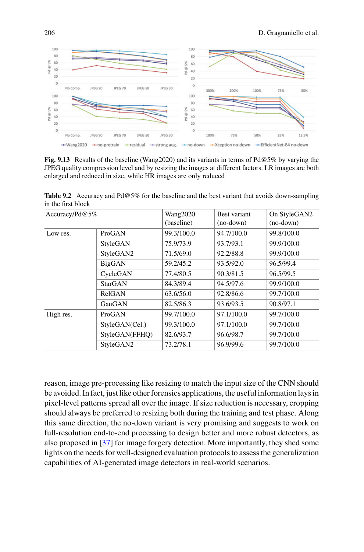

<span id="page-15-0"></span>**Fig. 9.13** Results of the baseline (Wang2020) and its variants in terms of Pd@5% by varying the JPEG quality compression level and by resizing the images at different factors. LR images are both enlarged and reduced in size, while HR images are only reduced

<span id="page-15-1"></span>**Table 9.2** Accuracy and Pd@5% for the baseline and the best variant that avoids down-sampling in the first block

| Accuracy/Pd@5% |                | Wang2020<br>(baseline) | Best variant<br>$(no-down)$ | On StyleGAN2<br>$(no-down)$ |
|----------------|----------------|------------------------|-----------------------------|-----------------------------|
| Low res.       | ProGAN         | 99.3/100.0             | 94.7/100.0                  | 99.8/100.0                  |
|                | StyleGAN       | 75.9/73.9              | 93.7/93.1                   | 99.9/100.0                  |
|                | StyleGAN2      | 71.5/69.0              | 92.2/88.8                   | 99.9/100.0                  |
|                | BigGAN         | 59.2/45.2              | 93.5/92.0                   | 96.5/99.4                   |
|                | CycleGAN       | 77.4/80.5              | 90.3/81.5                   | 96.5/99.5                   |
|                | <b>StarGAN</b> | 84.3/89.4              | 94.5/97.6                   | 99.9/100.0                  |
|                | RelGAN         | 63.6/56.0              | 92.8/86.6                   | 99.7/100.0                  |
|                | GauGAN         | 82.5/86.3              | 93.6/93.5                   | 90.8/97.1                   |
| High res.      | ProGAN         | 99.7/100.0             | 97.1/100.0                  | 99.7/100.0                  |
|                | StyleGAN(Cel.) | 99.3/100.0             | 97.1/100.0                  | 99.7/100.0                  |
|                | StyleGAN(FFHQ) | 82.6/93.7              | 96.6/98.7                   | 99.7/100.0                  |
|                | StyleGAN2      | 73.2/78.1              | 96.9/99.6                   | 99.7/100.0                  |

reason, image pre-processing like resizing to match the input size of the CNN should be avoided. In fact, just like other forensics applications, the useful information lays in pixel-level patterns spread all over the image. If size reduction is necessary, cropping should always be preferred to resizing both during the training and test phase. Along this same direction, the no-down variant is very promising and suggests to work on full-resolution end-to-end processing to design better and more robust detectors, as also proposed in [\[37](#page-19-20)] for image forgery detection. More importantly, they shed some lights on the needs for well-designed evaluation protocols to assess the generalization capabilities of AI-generated image detectors in real-world scenarios.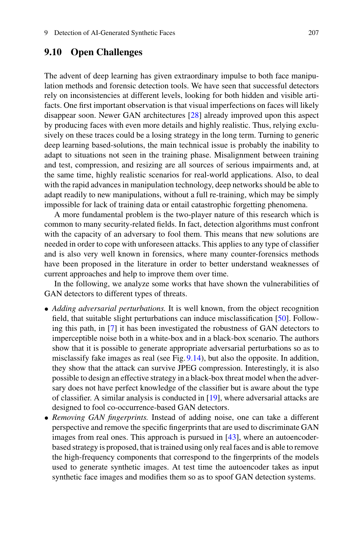#### **9.10 Open Challenges**

The advent of deep learning has given extraordinary impulse to both face manipulation methods and forensic detection tools. We have seen that successful detectors rely on inconsistencies at different levels, looking for both hidden and visible artifacts. One first important observation is that visual imperfections on faces will likely disappear soon. Newer GAN architectures [\[28](#page-19-3)] already improved upon this aspect by producing faces with even more details and highly realistic. Thus, relying exclusively on these traces could be a losing strategy in the long term. Turning to generic deep learning based-solutions, the main technical issue is probably the inability to adapt to situations not seen in the training phase. Misalignment between training and test, compression, and resizing are all sources of serious impairments and, at the same time, highly realistic scenarios for real-world applications. Also, to deal with the rapid advances in manipulation technology, deep networks should be able to adapt readily to new manipulations, without a full re-training, which may be simply impossible for lack of training data or entail catastrophic forgetting phenomena.

A more fundamental problem is the two-player nature of this research which is common to many security-related fields. In fact, detection algorithms must confront with the capacity of an adversary to fool them. This means that new solutions are needed in order to cope with unforeseen attacks. This applies to any type of classifier and is also very well known in forensics, where many counter-forensics methods have been proposed in the literature in order to better understand weaknesses of current approaches and help to improve them over time.

In the following, we analyze some works that have shown the vulnerabilities of GAN detectors to different types of threats.

- *Adding adversarial perturbations.* It is well known, from the object recognition field, that suitable slight perturbations can induce misclassification [\[50\]](#page-20-19). Following this path, in [\[7](#page-18-14)] it has been investigated the robustness of GAN detectors to imperceptible noise both in a white-box and in a black-box scenario. The authors show that it is possible to generate appropriate adversarial perturbations so as to misclassify fake images as real (see Fig. [9.14\)](#page-17-0), but also the opposite. In addition, they show that the attack can survive JPEG compression. Interestingly, it is also possible to design an effective strategy in a black-box threat model when the adversary does not have perfect knowledge of the classifier but is aware about the type of classifier. A similar analysis is conducted in  $[19]$ , where adversarial attacks are designed to fool co-occurrence-based GAN detectors.
- *Removing GAN fingerprints.* Instead of adding noise, one can take a different perspective and remove the specific fingerprints that are used to discriminate GAN images from real ones. This approach is pursued in [\[43](#page-20-20)], where an autoencoderbased strategy is proposed, that is trained using only real faces and is able to remove the high-frequency components that correspond to the fingerprints of the models used to generate synthetic images. At test time the autoencoder takes as input synthetic face images and modifies them so as to spoof GAN detection systems.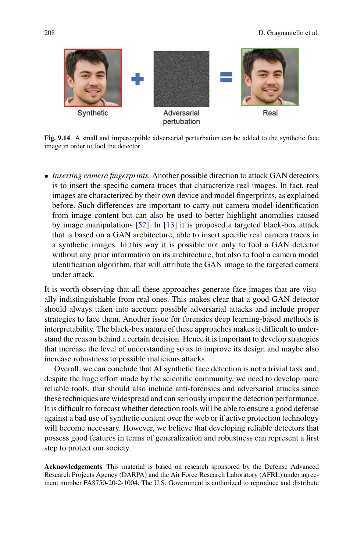

<span id="page-17-0"></span>**Fig. 9.14** A small and imperceptible adversarial perturbation can be added to the synthetic face image in order to fool the detector

• *Inserting camera fingerprints.* Another possible direction to attack GAN detectors is to insert the specific camera traces that characterize real images. In fact, real images are characterized by their own device and model fingerprints, as explained before. Such differences are important to carry out camera model identification from image content but can also be used to better highlight anomalies caused by image manipulations  $[52]$ . In  $[13]$  it is proposed a targeted black-box attack that is based on a GAN architecture, able to insert specific real camera traces in a synthetic images. In this way it is possible not only to fool a GAN detector without any prior information on its architecture, but also to fool a camera model identification algorithm, that will attribute the GAN image to the targeted camera under attack.

It is worth observing that all these approaches generate face images that are visually indistinguishable from real ones. This makes clear that a good GAN detector should always taken into account possible adversarial attacks and include proper strategies to face them. Another issue for forensics deep learning-based methods is interpretability. The black-box nature of these approaches makes it difficult to understand the reason behind a certain decision. Hence it is important to develop strategies that increase the level of understanding so as to improve its design and maybe also increase robustness to possible malicious attacks.

Overall, we can conclude that AI synthetic face detection is not a trivial task and, despite the huge effort made by the scientific community, we need to develop more reliable tools, that should also include anti-forensics and adversarial attacks since these techniques are widespread and can seriously impair the detection performance. It is difficult to forecast whether detection tools will be able to ensure a good defense against a bad use of synthetic content over the web or if active protection technology will become necessary. However, we believe that developing reliable detectors that possess good features in terms of generalization and robustness can represent a first step to protect our society.

**Acknowledgements** This material is based on research sponsored by the Defense Advanced Research Projects Agency (DARPA) and the Air Force Research Laboratory (AFRL) under agreement number FA8750-20-2-1004. The U.S. Government is authorized to reproduce and distribute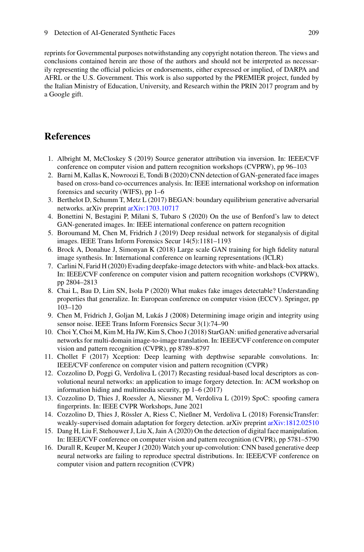reprints for Governmental purposes notwithstanding any copyright notation thereon. The views and conclusions contained herein are those of the authors and should not be interpreted as necessarily representing the official policies or endorsements, either expressed or implied, of DARPA and AFRL or the U.S. Government. This work is also supported by the PREMIER project, funded by the Italian Ministry of Education, University, and Research within the PRIN 2017 program and by a Google gift.

### **References**

- <span id="page-18-3"></span>1. Albright M, McCloskey S (2019) Source generator attribution via inversion. In: IEEE/CVF conference on computer vision and pattern recognition workshops (CVPRW), pp 96–103
- <span id="page-18-5"></span>2. Barni M, Kallas K, Nowroozi E, Tondi B (2020) CNN detection of GAN-generated face images based on cross-band co-occurrences analysis. In: IEEE international workshop on information forensics and security (WIFS), pp 1–6
- <span id="page-18-0"></span>3. Berthelot D, Schumm T, Metz L (2017) BEGAN: boundary equilibrium generative adversarial networks. arXiv preprint [arXiv:1703.10717](http://arxiv.org/abs/1703.10717)
- <span id="page-18-9"></span>4. Bonettini N, Bestagini P, Milani S, Tubaro S (2020) On the use of Benford's law to detect GAN-generated images. In: IEEE international conference on pattern recognition
- <span id="page-18-13"></span>5. Boroumand M, Chen M, Fridrich J (2019) Deep residual network for steganalysis of digital images. IEEE Trans Inform Forensics Secur 14(5):1181–1193
- <span id="page-18-12"></span>6. Brock A, Donahue J, Simonyan K (2018) Large scale GAN training for high fidelity natural image synthesis. In: International conference on learning representations (ICLR)
- <span id="page-18-14"></span>7. Carlini N, Farid H (2020) Evading deepfake-image detectors with white- and black-box attacks. In: IEEE/CVF conference on computer vision and pattern recognition workshops (CVPRW), pp 2804–2813
- <span id="page-18-11"></span>8. Chai L, Bau D, Lim SN, Isola P (2020) What makes fake images detectable? Understanding properties that generalize. In: European conference on computer vision (ECCV). Springer, pp 103–120
- <span id="page-18-2"></span>9. Chen M, Fridrich J, Goljan M, Lukás J (2008) Determining image origin and integrity using sensor noise. IEEE Trans Inform Forensics Secur 3(1):74–90
- <span id="page-18-8"></span>10. Choi Y, Choi M, Kim M, Ha JW, Kim S, Choo J (2018) StarGAN: unified generative adversarial networks for multi-domain image-to-image translation. In: IEEE/CVF conference on computer vision and pattern recognition (CVPR), pp 8789–8797
- <span id="page-18-6"></span>11. Chollet F (2017) Xception: Deep learning with depthwise separable convolutions. In: IEEE/CVF conference on computer vision and pattern recognition (CVPR)
- <span id="page-18-4"></span>12. Cozzolino D, Poggi G, Verdoliva L (2017) Recasting residual-based local descriptors as convolutional neural networks: an application to image forgery detection. In: ACM workshop on information hiding and multimedia security, pp 1–6 (2017)
- <span id="page-18-15"></span>13. Cozzolino D, Thies J, Roessler A, Niessner M, Verdoliva L (2019) SpoC: spoofing camera fingerprints. In: IEEE CVPR Workshops, June 2021
- <span id="page-18-10"></span>14. Cozzolino D, Thies J, Rössler A, Riess C, Nießner M, Verdoliva L (2018) ForensicTransfer: weakly-supervised domain adaptation for forgery detection. arXiv preprint [arXiv:1812.02510](http://arxiv.org/abs/1812.02510)
- <span id="page-18-7"></span>15. Dang H, Liu F, Stehouwer J, Liu X, Jain A (2020) On the detection of digital face manipulation. In: IEEE/CVF conference on computer vision and pattern recognition (CVPR), pp 5781–5790
- <span id="page-18-1"></span>16. Durall R, Keuper M, Keuper J (2020) Watch your up-convolution: CNN based generative deep neural networks are failing to reproduce spectral distributions. In: IEEE/CVF conference on computer vision and pattern recognition (CVPR)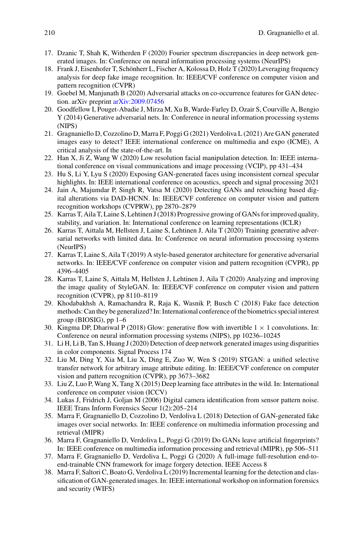- <span id="page-19-16"></span>17. Dzanic T, Shah K, Witherden F (2020) Fourier spectrum discrepancies in deep network generated images. In: Conference on neural information processing systems (NeurIPS)
- <span id="page-19-5"></span>18. Frank J, Eisenhofer T, Schönherr L, Fischer A, Kolossa D, Holz T (2020) Leveraging frequency analysis for deep fake image recognition. In: IEEE/CVF conference on computer vision and pattern recognition (CVPR)
- <span id="page-19-21"></span>19. Goebel M, Manjunath B (2020) Adversarial attacks on co-occurrence features for GAN detection. arXiv preprint [arXiv:2009.07456](http://arxiv.org/abs/2009.07456)
- <span id="page-19-0"></span>20. Goodfellow I, Pouget-Abadie J, Mirza M, Xu B, Warde-Farley D, Ozair S, Courville A, Bengio Y (2014) Generative adversarial nets. In: Conference in neural information processing systems (NIPS)
- <span id="page-19-19"></span>21. Gragnaniello D, Cozzolino D, Marra F, Poggi G (2021) Verdoliva L (2021) Are GAN generated images easy to detect? IEEE international conference on multimedia and expo (ICME), A critical analysis of the state-of-the-art. In
- <span id="page-19-12"></span>22. Han X, Ji Z, Wang W (2020) Low resolution facial manipulation detection. In: IEEE international conference on visual communications and image processing (VCIP), pp 431–434
- <span id="page-19-11"></span>23. Hu S, Li Y, Lyu S (2020) Exposing GAN-generated faces using inconsistent corneal specular highlights. In: IEEE international conference on acoustics, speech and signal processing 2021
- <span id="page-19-15"></span>24. Jain A, Majumdar P, Singh R, Vatsa M (2020) Detecting GANs and retouching based digital alterations via DAD-HCNN. In: IEEE/CVF conference on computer vision and pattern recognition workshops (CVPRW), pp 2870–2879
- <span id="page-19-1"></span>25. Karras T, Aila T, Laine S, Lehtinen J (2018) Progressive growing of GANs for improved quality, stability, and variation. In: International conference on learning representations (ICLR)
- <span id="page-19-7"></span>26. Karras T, Aittala M, Hellsten J, Laine S, Lehtinen J, Aila T (2020) Training generative adversarial networks with limited data. In: Conference on neural information processing systems (NeurIPS)
- <span id="page-19-2"></span>27. Karras T, Laine S, Aila T (2019) A style-based generator architecture for generative adversarial networks. In: IEEE/CVF conference on computer vision and pattern recognition (CVPR), pp 4396–4405
- <span id="page-19-3"></span>28. Karras T, Laine S, Aittala M, Hellsten J, Lehtinen J, Aila T (2020) Analyzing and improving the image quality of StyleGAN. In: IEEE/CVF conference on computer vision and pattern recognition (CVPR), pp 8110–8119
- <span id="page-19-17"></span>29. Khodabakhsh A, Ramachandra R, Raja K, Wasnik P, Busch C (2018) Fake face detection methods: Can they be generalized? In: International conference of the biometrics special interest group (BIOSIG), pp 1–6
- <span id="page-19-9"></span>30. Kingma DP, Dhariwal P (2018) Glow: generative flow with invertible  $1 \times 1$  convolutions. In: Conference on neural information processing systems (NIPS), pp 10236–10245
- <span id="page-19-13"></span>31. Li H, Li B, Tan S, Huang J (2020) Detection of deep network generated images using disparities in color components. Signal Process 174
- <span id="page-19-8"></span>32. Liu M, Ding Y, Xia M, Liu X, Ding E, Zuo W, Wen S (2019) STGAN: a unified selective transfer network for arbitrary image attribute editing. In: IEEE/CVF conference on computer vision and pattern recognition (CVPR), pp 3673–3682
- <span id="page-19-6"></span>33. Liu Z, Luo P, Wang X, Tang X (2015) Deep learning face attributes in the wild. In: International conference on computer vision (ICCV)
- <span id="page-19-10"></span>34. Lukas J, Fridrich J, Goljan M (2006) Digital camera identification from sensor pattern noise. IEEE Trans Inform Forensics Secur 1(2):205–214
- <span id="page-19-14"></span>35. Marra F, Gragnaniello D, Cozzolino D, Verdoliva L (2018) Detection of GAN-generated fake images over social networks. In: IEEE conference on multimedia information processing and retrieval (MIPR)
- <span id="page-19-4"></span>36. Marra F, Gragnaniello D, Verdoliva L, Poggi G (2019) Do GANs leave artificial fingerprints? In: IEEE conference on multimedia information processing and retrieval (MIPR), pp 506–511
- <span id="page-19-20"></span>37. Marra F, Gragnaniello D, Verdoliva L, Poggi G (2020) A full-image full-resolution end-toend-trainable CNN framework for image forgery detection. IEEE Access 8
- <span id="page-19-18"></span>38. Marra F, Saltori C, Boato G, Verdoliva L (2019) Incremental learning for the detection and classification of GAN-generated images. In: IEEE international workshop on information forensics and security (WIFS)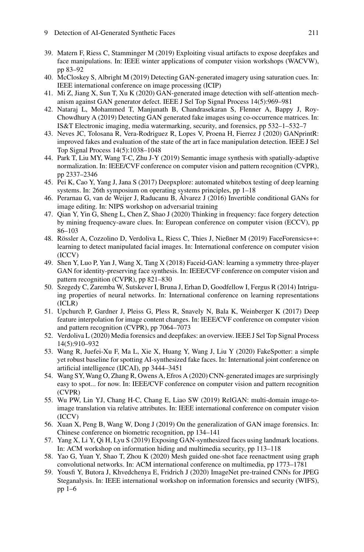- <span id="page-20-6"></span>39. Matern F, Riess C, Stamminger M (2019) Exploiting visual artifacts to expose deepfakes and face manipulations. In: IEEE winter applications of computer vision workshops (WACVW), pp 83–92
- <span id="page-20-8"></span>40. McCloskey S, Albright M (2019) Detecting GAN-generated imagery using saturation cues. In: IEEE international conference on image processing (ICIP)
- <span id="page-20-13"></span>41. Mi Z, Jiang X, Sun T, Xu K (2020) GAN-generated image detection with self-attention mechanism against GAN generator defect. IEEE J Sel Top Signal Process 14(5):969–981
- <span id="page-20-9"></span>42. Nataraj L, Mohammed T, Manjunath B, Chandrasekaran S, Flenner A, Bappy J, Roy-Chowdhury A (2019) Detecting GAN generated fake images using co-occurrence matrices. In: IS&T Electronic imaging, media watermarking, security, and forensics, pp 532–1–532–7
- <span id="page-20-20"></span>43. Neves JC, Tolosana R, Vera-Rodriguez R, Lopes V, Proena H, Fierrez J (2020) GANprintR: improved fakes and evaluation of the state of the art in face manipulation detection. IEEE J Sel Top Signal Process 14(5):1038–1048
- <span id="page-20-17"></span>44. Park T, Liu MY, Wang T-C, Zhu J-Y (2019) Semantic image synthesis with spatially-adaptive normalization. In: IEEE/CVF conference on computer vision and pattern recognition (CVPR), pp 2337–2346
- <span id="page-20-12"></span>45. Pei K, Cao Y, Yang J, Jana S (2017) Deepxplore: automated whitebox testing of deep learning systems. In: 26th symposium on operating systems principles, pp 1–18
- <span id="page-20-1"></span>46. Perarnau G, van de Weijer J, Raducanu B, Álvarez J (2016) Invertible conditional GANs for image editing. In: NIPS workshop on adversarial training
- <span id="page-20-14"></span>47. Qian Y, Yin G, Sheng L, Chen Z, Shao J (2020) Thinking in frequency: face forgery detection by mining frequency-aware clues. In: European conference on computer vision (ECCV), pp 86–103
- <span id="page-20-10"></span>48. Rössler A, Cozzolino D, Verdoliva L, Riess C, Thies J, Nießner M (2019) FaceForensics++: learning to detect manipulated facial images. In: International conference on computer vision (ICCV)
- <span id="page-20-4"></span>49. Shen Y, Luo P, Yan J, Wang X, Tang X (2018) Faceid-GAN: learning a symmetry three-player GAN for identity-preserving face synthesis. In: IEEE/CVF conference on computer vision and pattern recognition (CVPR), pp 821–830
- <span id="page-20-19"></span>50. Szegedy C, Zaremba W, Sutskever I, Bruna J, Erhan D, Goodfellow I, Fergus R (2014) Intriguing properties of neural networks. In: International conference on learning representations (ICLR)
- <span id="page-20-2"></span>51. Upchurch P, Gardner J, Pleiss G, Pless R, Snavely N, Bala K, Weinberger K (2017) Deep feature interpolation for image content changes. In: IEEE/CVF conference on computer vision and pattern recognition (CVPR), pp 7064–7073
- <span id="page-20-0"></span>52. Verdoliva L (2020) Media forensics and deepfakes: an overview. IEEE J Sel Top Signal Process 14(5):910–932
- <span id="page-20-11"></span>53. Wang R, Juefei-Xu F, Ma L, Xie X, Huang Y, Wang J, Liu Y (2020) FakeSpotter: a simple yet robust baseline for spotting AI-synthesized fake faces. In: International joint conference on artificial intelligence (IJCAI), pp 3444–3451
- <span id="page-20-16"></span>54. Wang SY, Wang O, Zhang R, Owens A, Efros A (2020) CNN-generated images are surprisingly easy to spot... for now. In: IEEE/CVF conference on computer vision and pattern recognition (CVPR)
- <span id="page-20-3"></span>55. Wu PW, Lin YJ, Chang H-C, Chang E, Liao SW (2019) RelGAN: multi-domain image-toimage translation via relative attributes. In: IEEE international conference on computer vision (ICCV)
- <span id="page-20-15"></span>56. Xuan X, Peng B, Wang W, Dong J (2019) On the generalization of GAN image forensics. In: Chinese conference on biometric recognition, pp 134–141
- <span id="page-20-7"></span>57. Yang X, Li Y, Qi H, Lyu S (2019) Exposing GAN-synthesized faces using landmark locations. In: ACM workshop on information hiding and multimedia security, pp 113–118
- <span id="page-20-5"></span>58. Yao G, Yuan Y, Shao T, Zhou K (2020) Mesh guided one-shot face reenactment using graph convolutional networks. In: ACM international conference on multimedia, pp 1773–1781
- <span id="page-20-18"></span>59. Yousfi Y, Butora J, Khvedchenya E, Fridrich J (2020) ImageNet pre-trained CNNs for JPEG Steganalysis. In: IEEE international workshop on information forensics and security (WIFS), pp 1–6